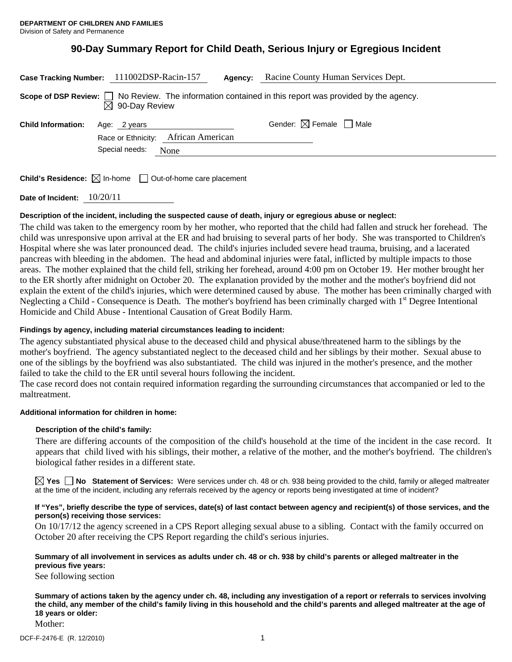# **90-Day Summary Report for Child Death, Serious Injury or Egregious Incident**

| Case Tracking Number: 111002DSP-Racin-157                                                                                                |                                     |      | Agency: | Racine County Human Services Dept.     |
|------------------------------------------------------------------------------------------------------------------------------------------|-------------------------------------|------|---------|----------------------------------------|
| Scope of DSP Review: $\Box$ No Review. The information contained in this report was provided by the agency.<br>$\boxtimes$ 90-Day Review |                                     |      |         |                                        |
| <b>Child Information:</b>                                                                                                                | Age: 2 years                        |      |         | Gender: $\boxtimes$ Female $\Box$ Male |
|                                                                                                                                          | Race or Ethnicity: African American |      |         |                                        |
|                                                                                                                                          | Special needs:                      | None |         |                                        |
|                                                                                                                                          |                                     |      |         |                                        |
| <b>Child's Residence:</b> $\boxtimes$ In-home<br>$\perp$<br>Out-of-home care placement                                                   |                                     |      |         |                                        |

**Date of Incident:** 10/20/11

#### **Description of the incident, including the suspected cause of death, injury or egregious abuse or neglect:**

The child was taken to the emergency room by her mother, who reported that the child had fallen and struck her forehead. The child was unresponsive upon arrival at the ER and had bruising to several parts of her body. She was transported to Children's Hospital where she was later pronounced dead. The child's injuries included severe head trauma, bruising, and a lacerated pancreas with bleeding in the abdomen. The head and abdominal injuries were fatal, inflicted by multiple impacts to those areas. The mother explained that the child fell, striking her forehead, around 4:00 pm on October 19. Her mother brought her to the ER shortly after midnight on October 20. The explanation provided by the mother and the mother's boyfriend did not explain the extent of the child's injuries, which were determined caused by abuse. The mother has been criminally charged with Neglecting a Child - Consequence is Death. The mother's boyfriend has been criminally charged with 1<sup>st</sup> Degree Intentional Homicide and Child Abuse - Intentional Causation of Great Bodily Harm.

#### **Findings by agency, including material circumstances leading to incident:**

The agency substantiated physical abuse to the deceased child and physical abuse/threatened harm to the siblings by the mother's boyfriend. The agency substantiated neglect to the deceased child and her siblings by their mother. Sexual abuse to one of the siblings by the boyfriend was also substantiated. The child was injured in the mother's presence, and the mother failed to take the child to the ER until several hours following the incident.

The case record does not contain required information regarding the surrounding circumstances that accompanied or led to the maltreatment.

#### **Additional information for children in home:**

#### **Description of the child's family:**

There are differing accounts of the composition of the child's household at the time of the incident in the case record. It appears that child lived with his siblings, their mother, a relative of the mother, and the mother's boyfriend. The children's biological father resides in a different state.

**Yes No** Statement of Services: Were services under ch. 48 or ch. 938 being provided to the child, family or alleged maltreater at the time of the incident, including any referrals received by the agency or reports being investigated at time of incident?

#### **If "Yes", briefly describe the type of services, date(s) of last contact between agency and recipient(s) of those services, and the person(s) receiving those services:**

On 10/17/12 the agency screened in a CPS Report alleging sexual abuse to a sibling. Contact with the family occurred on October 20 after receiving the CPS Report regarding the child's serious injuries.

#### **Summary of all involvement in services as adults under ch. 48 or ch. 938 by child's parents or alleged maltreater in the previous five years:**

See following section

**Summary of actions taken by the agency under ch. 48, including any investigation of a report or referrals to services involving the child, any member of the child's family living in this household and the child's parents and alleged maltreater at the age of 18 years or older:** 

Mother: